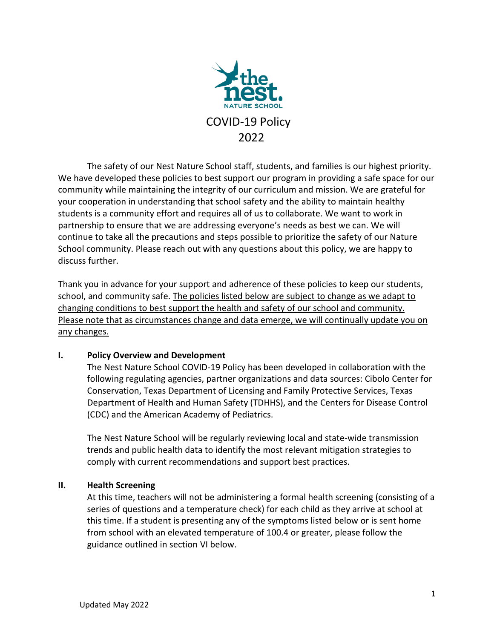

The safety of our Nest Nature School staff, students, and families is our highest priority. We have developed these policies to best support our program in providing a safe space for our community while maintaining the integrity of our curriculum and mission. We are grateful for your cooperation in understanding that school safety and the ability to maintain healthy students is a community effort and requires all of us to collaborate. We want to work in partnership to ensure that we are addressing everyone's needs as best we can. We will continue to take all the precautions and steps possible to prioritize the safety of our Nature School community. Please reach out with any questions about this policy, we are happy to discuss further.

Thank you in advance for your support and adherence of these policies to keep our students, school, and community safe. The policies listed below are subject to change as we adapt to changing conditions to best support the health and safety of our school and community. Please note that as circumstances change and data emerge, we will continually update you on any changes.

### **I. Policy Overview and Development**

The Nest Nature School COVID-19 Policy has been developed in collaboration with the following regulating agencies, partner organizations and data sources: Cibolo Center for Conservation, Texas Department of Licensing and Family Protective Services, Texas Department of Health and Human Safety (TDHHS), and the Centers for Disease Control (CDC) and the American Academy of Pediatrics.

The Nest Nature School will be regularly reviewing local and state-wide transmission trends and public health data to identify the most relevant mitigation strategies to comply with current recommendations and support best practices.

### **II. Health Screening**

At this time, teachers will not be administering a formal health screening (consisting of a series of questions and a temperature check) for each child as they arrive at school at this time. If a student is presenting any of the symptoms listed below or is sent home from school with an elevated temperature of 100.4 or greater, please follow the guidance outlined in section VI below.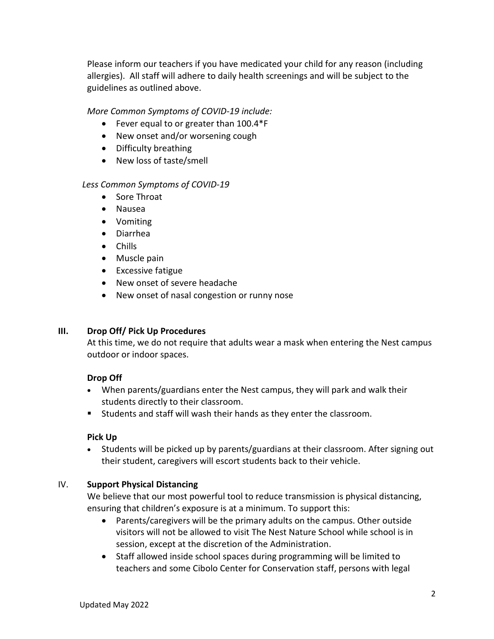Please inform our teachers if you have medicated your child for any reason (including allergies). All staff will adhere to daily health screenings and will be subject to the guidelines as outlined above.

*More Common Symptoms of COVID-19 include:*

- Fever equal to or greater than 100.4\*F
- New onset and/or worsening cough
- Difficulty breathing
- New loss of taste/smell

### *Less Common Symptoms of COVID-19*

- Sore Throat
- Nausea
- Vomiting
- Diarrhea
- Chills
- Muscle pain
- Excessive fatigue
- New onset of severe headache
- New onset of nasal congestion or runny nose

### **III. Drop Off/ Pick Up Procedures**

At this time, we do not require that adults wear a mask when entering the Nest campus outdoor or indoor spaces.

### **Drop Off**

- When parents/guardians enter the Nest campus, they will park and walk their students directly to their classroom.
- Students and staff will wash their hands as they enter the classroom.

### **Pick Up**

• Students will be picked up by parents/guardians at their classroom. After signing out their student, caregivers will escort students back to their vehicle.

### IV. **Support Physical Distancing**

We believe that our most powerful tool to reduce transmission is physical distancing, ensuring that children's exposure is at a minimum. To support this:

- Parents/caregivers will be the primary adults on the campus. Other outside visitors will not be allowed to visit The Nest Nature School while school is in session, except at the discretion of the Administration.
- Staff allowed inside school spaces during programming will be limited to teachers and some Cibolo Center for Conservation staff, persons with legal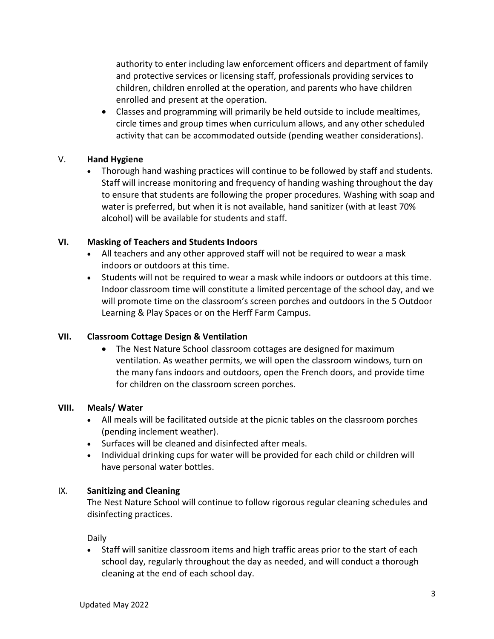authority to enter including law enforcement officers and department of family and protective services or licensing staff, professionals providing services to children, children enrolled at the operation, and parents who have children enrolled and present at the operation.

• Classes and programming will primarily be held outside to include mealtimes, circle times and group times when curriculum allows, and any other scheduled activity that can be accommodated outside (pending weather considerations).

## V. **Hand Hygiene**

• Thorough hand washing practices will continue to be followed by staff and students. Staff will increase monitoring and frequency of handing washing throughout the day to ensure that students are following the proper procedures. Washing with soap and water is preferred, but when it is not available, hand sanitizer (with at least 70% alcohol) will be available for students and staff.

### **VI. Masking of Teachers and Students Indoors**

- All teachers and any other approved staff will not be required to wear a mask indoors or outdoors at this time.
- Students will not be required to wear a mask while indoors or outdoors at this time. Indoor classroom time will constitute a limited percentage of the school day, and we will promote time on the classroom's screen porches and outdoors in the 5 Outdoor Learning & Play Spaces or on the Herff Farm Campus.

# **VII. Classroom Cottage Design & Ventilation**

• The Nest Nature School classroom cottages are designed for maximum ventilation. As weather permits, we will open the classroom windows, turn on the many fans indoors and outdoors, open the French doors, and provide time for children on the classroom screen porches.

### **VIII. Meals/ Water**

- All meals will be facilitated outside at the picnic tables on the classroom porches (pending inclement weather).
- Surfaces will be cleaned and disinfected after meals.
- Individual drinking cups for water will be provided for each child or children will have personal water bottles.

# IX. **Sanitizing and Cleaning**

The Nest Nature School will continue to follow rigorous regular cleaning schedules and disinfecting practices.

Daily

• Staff will sanitize classroom items and high traffic areas prior to the start of each school day, regularly throughout the day as needed, and will conduct a thorough cleaning at the end of each school day.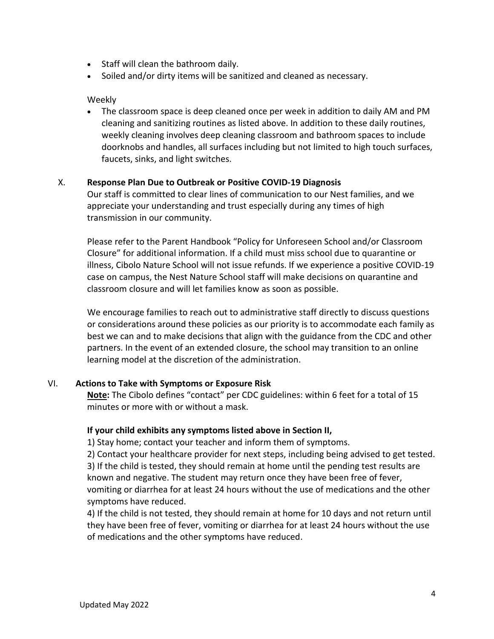- Staff will clean the bathroom daily.
- Soiled and/or dirty items will be sanitized and cleaned as necessary.

### Weekly

• The classroom space is deep cleaned once per week in addition to daily AM and PM cleaning and sanitizing routines as listed above. In addition to these daily routines, weekly cleaning involves deep cleaning classroom and bathroom spaces to include doorknobs and handles, all surfaces including but not limited to high touch surfaces, faucets, sinks, and light switches.

#### X. **Response Plan Due to Outbreak or Positive COVID-19 Diagnosis**

Our staff is committed to clear lines of communication to our Nest families, and we appreciate your understanding and trust especially during any times of high transmission in our community.

Please refer to the Parent Handbook "Policy for Unforeseen School and/or Classroom Closure" for additional information. If a child must miss school due to quarantine or illness, Cibolo Nature School will not issue refunds. If we experience a positive COVID-19 case on campus, the Nest Nature School staff will make decisions on quarantine and classroom closure and will let families know as soon as possible.

We encourage families to reach out to administrative staff directly to discuss questions or considerations around these policies as our priority is to accommodate each family as best we can and to make decisions that align with the guidance from the CDC and other partners. In the event of an extended closure, the school may transition to an online learning model at the discretion of the administration.

### VI. **Actions to Take with Symptoms or Exposure Risk**

**Note:** The Cibolo defines "contact" per CDC guidelines: within 6 feet for a total of 15 minutes or more with or without a mask.

#### **If your child exhibits any symptoms listed above in Section II,**

1) Stay home; contact your teacher and inform them of symptoms.

2) Contact your healthcare provider for next steps, including being advised to get tested. 3) If the child is tested, they should remain at home until the pending test results are known and negative. The student may return once they have been free of fever, vomiting or diarrhea for at least 24 hours without the use of medications and the other symptoms have reduced.

4) If the child is not tested, they should remain at home for 10 days and not return until they have been free of fever, vomiting or diarrhea for at least 24 hours without the use of medications and the other symptoms have reduced.